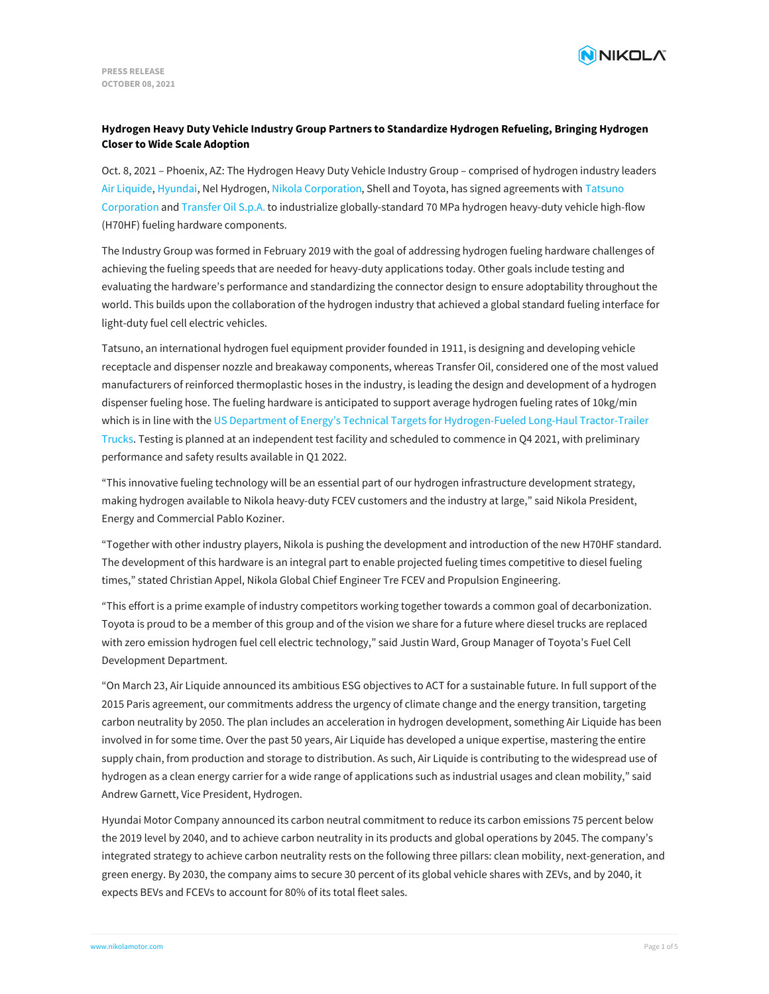

# **Hydrogen Heavy Duty Vehicle Industry Group Partners to Standardize Hydrogen Refueling, Bringing Hydrogen Closer to Wide Scale Adoption**

Oct. 8, 2021 – Phoenix, AZ: The Hydrogen Heavy Duty Vehicle Industry Group – comprised of hydrogen industry leaders Air [Liquide](https://www.airliquide.com/), [Hyundai](https://www.hyundai.com/worldwide/en/), Nel Hydrogen, Nikola [Corporation](https://www.nikolamotor.com/), Shell and Toyota, has signed agreements with Tatsuno Corporation and [Transfer](https://www.transferoil.com/website/) Oil S.p.A. to industrialize [globally-standard](https://tatsuno-corporation.com/en/) 70 MPa hydrogen heavy-duty vehicle high-flow (H70HF) fueling hardware components.

The Industry Group was formed in February 2019 with the goal of addressing hydrogen fueling hardware challenges of achieving the fueling speeds that are needed for heavy-duty applications today. Other goals include testing and evaluating the hardware's performance and standardizing the connector design to ensure adoptability throughout the world. This builds upon the collaboration of the hydrogen industry that achieved a global standard fueling interface for light-duty fuel cell electric vehicles.

Tatsuno, an international hydrogen fuel equipment provider founded in 1911, is designing and developing vehicle receptacle and dispenser nozzle and breakaway components, whereas Transfer Oil, considered one of the most valued manufacturers of reinforced thermoplastic hoses in the industry, is leading the design and development of a hydrogen dispenser fueling hose. The fueling hardware is anticipated to support average hydrogen fueling rates of 10kg/min which is in line with the US Department of Energy's Technical Targets for [Hydrogen-Fueled](https://www.hydrogen.energy.gov/pdfs/19006_hydrogen_class8_long_haul_truck_targets.pdf) Long-Haul Tractor-Trailer Trucks. Testing is planned at an independent test facility and scheduled to commence in Q4 2021, with preliminary performance and safety results available in Q1 2022.

"This innovative fueling technology will be an essential part of our hydrogen infrastructure development strategy, making hydrogen available to Nikola heavy-duty FCEV customers and the industry at large," said Nikola President, Energy and Commercial Pablo Koziner.

"Together with other industry players, Nikola is pushing the development and introduction of the new H70HF standard. The development of this hardware is an integral part to enable projected fueling times competitive to diesel fueling times," stated Christian Appel, Nikola Global Chief Engineer Tre FCEV and Propulsion Engineering.

"This effort is a prime example of industry competitors working together towards a common goal of decarbonization. Toyota is proud to be a member of this group and of the vision we share for a future where diesel trucks are replaced with zero emission hydrogen fuel cell electric technology," said Justin Ward, Group Manager of Toyota's Fuel Cell Development Department.

"On March 23, Air Liquide announced its ambitious ESG objectives to ACT for a sustainable future. In full support of the 2015 Paris agreement, our commitments address the urgency of climate change and the energy transition, targeting carbon neutrality by 2050. The plan includes an acceleration in hydrogen development, something Air Liquide has been involved in for some time. Over the past 50 years, Air Liquide has developed a unique expertise, mastering the entire supply chain, from production and storage to distribution. As such, Air Liquide is contributing to the widespread use of hydrogen as a clean energy carrier for a wide range of applications such as industrial usages and clean mobility," said Andrew Garnett, Vice President, Hydrogen.

Hyundai Motor Company announced its carbon neutral commitment to reduce its carbon emissions 75 percent below the 2019 level by 2040, and to achieve carbon neutrality in its products and global operations by 2045. The company's integrated strategy to achieve carbon neutrality rests on the following three pillars: clean mobility, next-generation, and green energy. By 2030, the company aims to secure 30 percent of its global vehicle shares with ZEVs, and by 2040, it [expects](file:///) BEVs and FCEVs to account for 80% of its total fleet sales.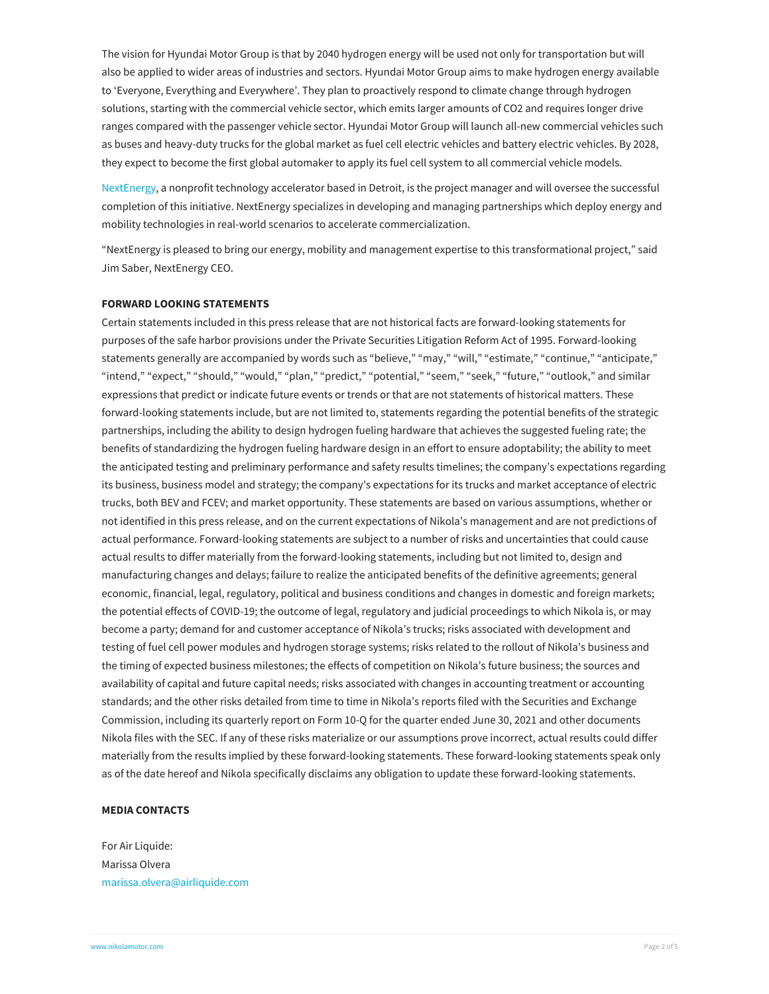The vision for Hyundai Motor Group is that by 2040 hydrogen energy will be used not only for transportation but will also be applied to wider areas of industries and sectors. Hyundai Motor Group aims to make hydrogen energy available to 'Everyone, Everything and Everywhere'. They plan to proactively respond to climate change through hydrogen solutions, starting with the commercial vehicle sector, which emits larger amounts of CO2 and requires longer drive ranges compared with the passenger vehicle sector. Hyundai Motor Group will launch all-new commercial vehicles such as buses and heavy-duty trucks for the global market as fuel cell electric vehicles and battery electric vehicles. By 2028, they expect to become the first global automaker to apply its fuel cell system to all commercial vehicle models.

[NextEnergy](https://nextenergy.org/), a nonprofit technology accelerator based in Detroit, is the project manager and will oversee the successful completion of this initiative. NextEnergy specializes in developing and managing partnerships which deploy energy and mobility technologies in real-world scenarios to accelerate commercialization.

"NextEnergy is pleased to bring our energy, mobility and management expertise to this transformational project," said Jim Saber, NextEnergy CEO.

# **FORWARD LOOKING STATEMENTS**

Certain statements included in this press release that are not historical facts are forward-looking statements for purposes of the safe harbor provisions under the Private Securities Litigation Reform Act of 1995. Forward-looking statements generally are accompanied by words such as "believe," "may," "will," "estimate," "continue," "anticipate," "intend," "expect," "should," "would," "plan," "predict," "potential," "seem," "seek," "future," "outlook," and similar expressions that predict or indicate future events or trends or that are not statements of historical matters. These forward-looking statements include, but are not limited to, statements regarding the potential benefits of the strategic partnerships, including the ability to design hydrogen fueling hardware that achieves the suggested fueling rate; the benefits of standardizing the hydrogen fueling hardware design in an effort to ensure adoptability; the ability to meet the anticipated testing and preliminary performance and safety results timelines; the company's expectations regarding its business, business model and strategy; the company's expectations for its trucks and market acceptance of electric trucks, both BEV and FCEV; and market opportunity. These statements are based on various assumptions, whether or not identified in this press release, and on the current expectations of Nikola's management and are not predictions of actual performance. Forward-looking statements are subject to a number of risks and uncertainties that could cause actual results to differ materially from the forward-looking statements, including but not limited to, design and manufacturing changes and delays; failure to realize the anticipated benefits of the definitive agreements; general economic, financial, legal, regulatory, political and business conditions and changes in domestic and foreign markets; the potential effects of COVID-19; the outcome of legal, regulatory and judicial proceedings to which Nikola is, or may become a party; demand for and customer acceptance of Nikola's trucks; risks associated with development and testing of fuel cell power modules and hydrogen storage systems; risks related to the rollout of Nikola's business and the timing of expected business milestones; the effects of competition on Nikola's future business; the sources and availability of capital and future capital needs; risks associated with changes in accounting treatment or accounting standards; and the other risks detailed from time to time in Nikola's reports filed with the Securities and Exchange Commission, including its quarterly report on Form 10-Q for the quarter ended June 30, 2021 and other documents Nikola files with the SEC. If any of these risks materialize or our assumptions prove incorrect, actual results could differ materially from the results implied by these forward-looking statements. These forward-looking statements speak only as of the date hereof and Nikola specifically disclaims any obligation to update these forward-looking statements.

## **MEDIA CONTACTS**

For Air Liquide: Marissa Olvera [marissa.olvera@airliquide.com](mailto:marissa.olvera@airliquide.com)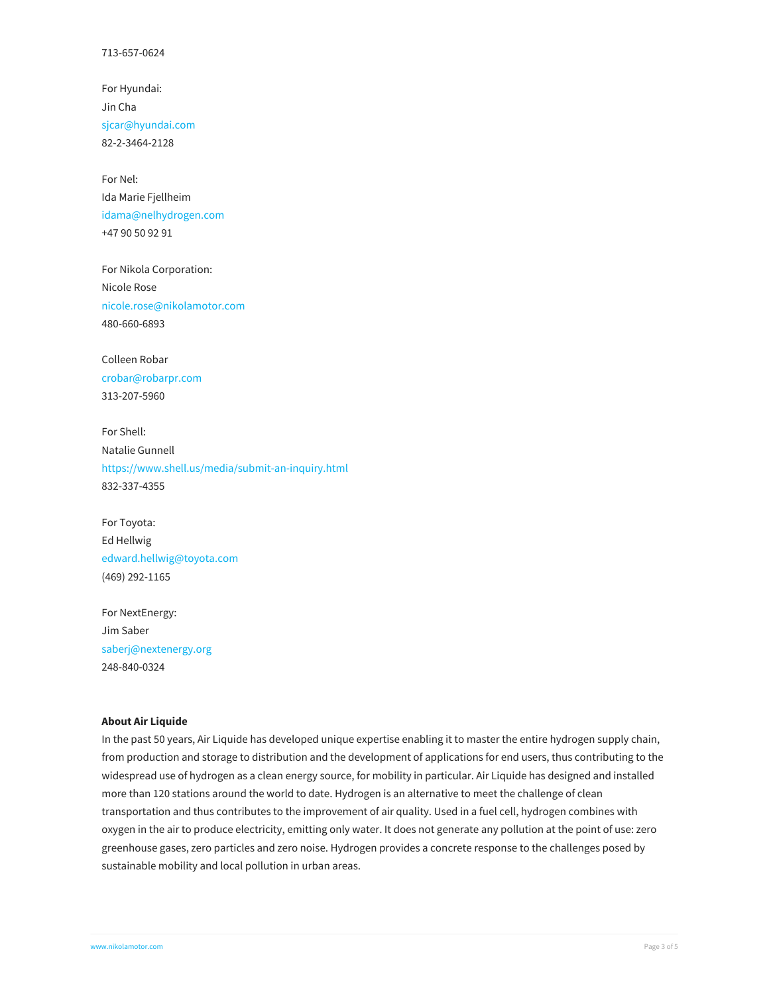For Hyundai: Jin Cha [sjcar@hyundai.com](mailto:sjcar@hyundai.com) 82-2-3464-2128

For Nel: Ida Marie Fjellheim [idama@nelhydrogen.com](mailto:idama@nelhydrogen.com) +47 90 50 92 91

For Nikola Corporation: Nicole Rose [nicole.rose@nikolamotor.com](mailto:nicole.rose@nikolamotor.com) 480-660-6893

Colleen Robar [crobar@robarpr.com](mailto:crobar@robarpr.com) 313-207-5960

For Shell: Natalie Gunnell <https://www.shell.us/media/submit-an-inquiry.html> 832-337-4355

For Toyota: Ed Hellwig [edward.hellwig@toyota.com](mailto:edward.hellwig@toyota.com) (469) 292-1165

For NextEnergy: Jim Saber [saberj@nextenergy.org](mailto:saberj@nextenergy.org) 248-840-0324

#### **About Air Liquide**

In the past 50 years, Air Liquide has developed unique expertise enabling it to master the entire hydrogen supply chain, from production and storage to distribution and the development of applications for end users, thus contributing to the widespread use of hydrogen as a clean energy source, for mobility in particular. Air Liquide has designed and installed more than 120 stations around the world to date. Hydrogen is an alternative to meet the challenge of clean transportation and thus contributes to the improvement of air quality. Used in a fuel cell, hydrogen combines with oxygen in the air to produce electricity, emitting only water. It does not generate any pollution at the point of use: zero greenhouse gases, zero particles and zero noise. Hydrogen provides a concrete response to the challenges posed by sustainable mobility and local pollution in urban areas.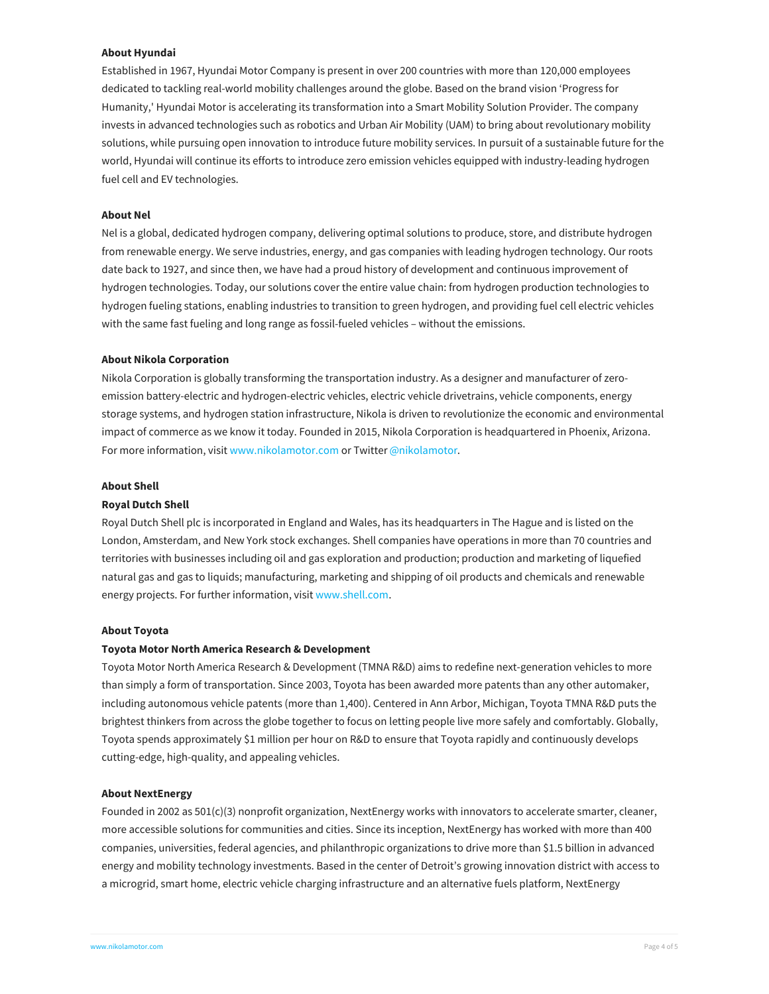## **About Hyundai**

Established in 1967, Hyundai Motor Company is present in over 200 countries with more than 120,000 employees dedicated to tackling real-world mobility challenges around the globe. Based on the brand vision 'Progress for Humanity,' Hyundai Motor is accelerating its transformation into a Smart Mobility Solution Provider. The company invests in advanced technologies such as robotics and Urban Air Mobility (UAM) to bring about revolutionary mobility solutions, while pursuing open innovation to introduce future mobility services. In pursuit of a sustainable future for the world, Hyundai will continue its efforts to introduce zero emission vehicles equipped with industry-leading hydrogen fuel cell and EV technologies.

## **About Nel**

Nel is a global, dedicated hydrogen company, delivering optimal solutions to produce, store, and distribute hydrogen from renewable energy. We serve industries, energy, and gas companies with leading hydrogen technology. Our roots date back to 1927, and since then, we have had a proud history of development and continuous improvement of hydrogen technologies. Today, our solutions cover the entire value chain: from hydrogen production technologies to hydrogen fueling stations, enabling industries to transition to green hydrogen, and providing fuel cell electric vehicles with the same fast fueling and long range as fossil-fueled vehicles – without the emissions.

#### **About Nikola Corporation**

Nikola Corporation is globally transforming the transportation industry. As a designer and manufacturer of zeroemission battery-electric and hydrogen-electric vehicles, electric vehicle drivetrains, vehicle components, energy storage systems, and hydrogen station infrastructure, Nikola is driven to revolutionize the economic and environmental impact of commerce as we know it today. Founded in 2015, Nikola Corporation is headquartered in Phoenix, Arizona. For more information, visit [www.nikolamotor.com](https://www.nikolamotor.com) or Twitter [@nikolamotor](https://www.twitter.com/nikolamotor).

#### **About Shell**

#### **Royal Dutch Shell**

Royal Dutch Shell plc is incorporated in England and Wales, has its headquarters in The Hague and is listed on the London, Amsterdam, and New York stock exchanges. Shell companies have operations in more than 70 countries and territories with businesses including oil and gas exploration and production; production and marketing of liquefied natural gas and gas to liquids; manufacturing, marketing and shipping of oil products and chemicals and renewable energy projects. For further information, visit [www.shell.com](https://www.shell.com/).

#### **About Toyota**

# **Toyota Motor North America Research & Development**

Toyota Motor North America Research & Development (TMNA R&D) aims to redefine next-generation vehicles to more than simply a form of transportation. Since 2003, Toyota has been awarded more patents than any other automaker, including autonomous vehicle patents (more than 1,400). Centered in Ann Arbor, Michigan, Toyota TMNA R&D puts the brightest thinkers from across the globe together to focus on letting people live more safely and comfortably. Globally, Toyota spends approximately \$1 million per hour on R&D to ensure that Toyota rapidly and continuously develops cutting-edge, high-quality, and appealing vehicles.

#### **About NextEnergy**

Founded in 2002 as 501(c)(3) nonprofit organization, NextEnergy works with innovators to accelerate smarter, cleaner, more accessible solutions for communities and cities. Since its inception, NextEnergy has worked with more than 400 companies, universities, federal agencies, and philanthropic organizations to drive more than \$1.5 billion in advanced energy and mobility technology investments. Based in the center of Detroit's growing innovation district with access to a microgrid, smart home, electric vehicle charging infrastructure and an alternative fuels platform, NextEnergy